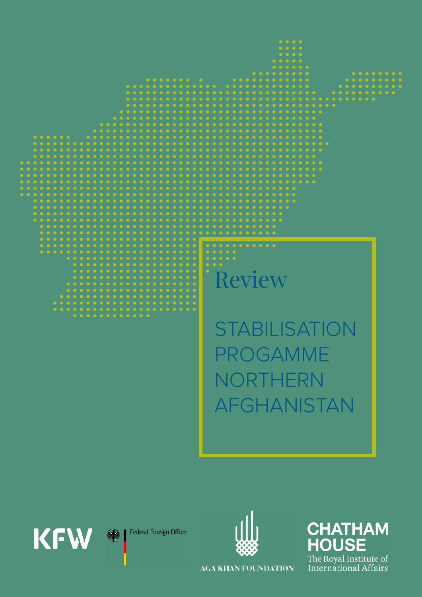

**Federal Foreign Office** 绿

**KFW** 



**CHATHAM HOUSE** The Royal Institute of **International Affairs** 

**AGA KHAN FOUNDATION**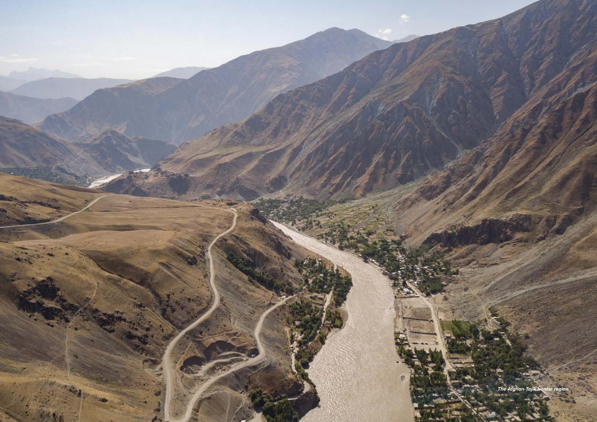

*The Afghan-Tajik border region*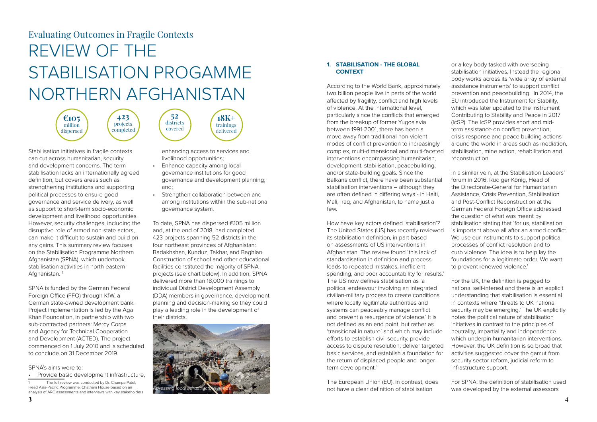## **1. STABILISATION - THE GLOBAL CONTEXT**

According to the World Bank, approximately two billion people live in parts of the world affected by fragility, conflict and high levels of violence. At the international level, particularly since the conflicts that emerged from the breakup of former Yugoslavia between 1991-2001, there has been a move away from traditional non-violent modes of conflict prevention to increasingly complex, multi-dimensional and multi-faceted interventions encompassing humanitarian, development, stabilisation, peacebuilding, and/or state-building goals. Since the Balkans conflict, there have been substantial stabilisation interventions – although they are often defined in differing ways - in Haiti, Mali, Iraq, and Afghanistan, to name just a few.

How have key actors defined 'stabilisation'? The United States (US) has recently reviewed its stabilisation definition, in part based on assessments of US interventions in Afghanistan. The review found 'this lack of standardisation in definition and process leads to repeated mistakes, inefficient spending, and poor accountability for results.' The US now defines stabilisation as 'a political endeavour involving an integrated civilian-military process to create conditions where locally legitimate authorities and systems can peaceably manage conflict and prevent a resurgence of violence.' It is not defined as an end point, but rather as 'transitional in nature' and which may include efforts to establish civil security, provide access to dispute resolution, deliver targeted basic services, and establish a foundation for the return of displaced people and longerterm development.'

The European Union (EU), in contrast, does not have a clear definition of stabilisation

Stabilisation initiatives in fragile contexts can cut across humanitarian, security and development concerns. The term stabilisation lacks an internationally agreed definition, but covers areas such as strengthening institutions and supporting political processes to ensure good governance and service delivery, as well as support to short-term socio-economic development and livelihood opportunities. However, security challenges, including the disruptive role of armed non-state actors, can make it difficult to sustain and build on any gains. This summary review focuses on the Stabilisation Programme Northern Afghanistan (SPNA), which undertook stabilisation activities in north-eastern Afghanistan.<sup>1</sup>

or a key body tasked with overseeing stabilisation initiatives. Instead the regional body works across its 'wide array of external assistance instruments' to support conflict prevention and peacebuilding. In 2014, the EU introduced the Instrument for Stability, which was later updated to the Instrument Contributing to Stability and Peace in 2017 (IcSP). The IcSP provides short and midterm assistance on conflict prevention, crisis response and peace building actions around the world in areas such as mediation, stabilisation, mine action, rehabilitation and reconstruction.

In a similar vein, at the Stabilisation Leaders' forum in 2016, Rüdiger König, Head of the Directorate-General for Humanitarian Assistance, Crisis Prevention, Stabilisation and Post-Conflict Reconstruction at the German Federal Foreign Office addressed the question of what was meant by stabilisation stating that 'for us, stabilisation is important above all after an armed conflict. We use our instruments to support political processes of conflict resolution and to curb violence. The idea is to help lay the foundations for a legitimate order. We want to prevent renewed violence.'

For the UK, the definition is pegged to national self-interest and there is an explicit understanding that stabilisation is essential in contexts where 'threats to UK national security may be emerging.' The UK explicitly notes the political nature of stabilisation initiatives in contrast to the principles of neutrality, impartiality and independence which underpin humanitarian interventions. However, the UK definition is so broad that activities suggested cover the gamut from security sector reform, judicial reform to infrastructure support.

For SPNA, the definition of stabilisation used was developed by the external assessors

# REVIEW OF THE STABILISATION PROGAMME NORTHERN AFGHANISTAN Evaluating Outcomes in Fragile Contexts

SPNA is funded by the German Federal Foreign Office (FFO) through KfW, a German state-owned development bank. Project implementation is led by the Aga Khan Foundation, in partnership with two sub-contracted partners: Mercy Corps and Agency for Technical Cooperation and Development (ACTED). The project commenced on 1 July 2010 and is scheduled to conclude on 31 December 2019.

SPNA's aims were to:

• Provide basic development infrastructure,

enhancing access to services and livelihood opportunities;

- Enhance capacity among local governance institutions for good governance and development planning; and;
- Strengthen collaboration between and among institutions within the sub-national governance system.

To date, SPNA has dispersed €105 million and, at the end of 2018, had completed 423 projects spanning 52 districts in the four northeast provinces of Afghanistan: Badakhshan, Kunduz, Takhar, and Baghlan. Construction of school and other educational facilities constituted the majority of SPNA projects (see chart below). In addition, SPNA delivered more than 18,000 trainings to individual District Development Assembly (DDA) members in governance, development planning and decision-making so they could play a leading role in the development of their districts.





The full review was conducted by Dr. Champa Patel, Head Asia-Pacific Programme, Chatham House based on an analysis of ARC assessments and interviews with key stakeholders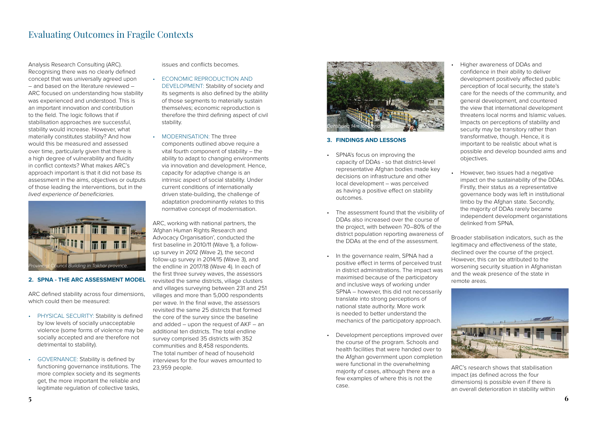- Higher awareness of DDAs and confidence in their ability to deliver development positively affected public perception of local security, the state's care for the needs of the community, and general development, and countered the view that international development threatens local norms and Islamic values. Impacts on perceptions of stability and security may be transitory rather than transformative, though. Hence, it is important to be realistic about what is possible and develop bounded aims and objectives.
- However, two issues had a negative impact on the sustainability of the DDAs. Firstly, their status as a representative governance body was left in institutional limbo by the Afghan state. Secondly, the majority of DDAs rarely became independent development organistations delinked from SPNA.

Broader stabilisation indicators, such as the legitimacy and effectiveness of the state, declined over the course of the project. However, this can be attributed to the worsening security situation in Afghanistan and the weak presence of the state in remote areas.



ARC's research shows that stabilisation impact (as defined across the four dimensions) is possible even if there is an overall deterioration in stability within



#### **3. FINDINGS AND LESSONS**

ARC defined stability across four dimensions, which could then be measured:

- SPNA's focus on improving the capacity of DDAs - so that district-level representative Afghan bodies made key decisions on infrastructure and other local development – was perceived as having a positive effect on stability outcomes.
- The assessment found that the visibility of DDAs also increased over the course of the project, with between 70–80% of the district population reporting awareness of the DDAs at the end of the assessment.
- In the governance realm, SPNA had a positive effect in terms of perceived trust in district administrations. The impact was maximised because of the participatory and inclusive ways of working under SPNA – however, this did not necessarily translate into strong perceptions of national state authority. More work is needed to better understand the mechanics of the participatory approach.
- Development perceptions improved over the course of the program. Schools and health facilities that were handed over to the Afghan government upon completion were functional in the overwhelming majority of cases, although there are a few examples of where this is not the case.

## Evaluating Outcomes in Fragile Contexts

Analysis Research Consulting (ARC). Recognising there was no clearly defined concept that was universally agreed upon – and based on the literature reviewed – ARC focused on understanding how stability was experienced and understood. This is an important innovation and contribution to the field. The logic follows that if stabilisation approaches are successful, stability would increase. However, what materially constitutes stability? And how would this be measured and assessed over time, particularly given that there is a high degree of vulnerability and fluidity in conflict contexts? What makes ARC's approach important is that it did not base its assessment in the aims, objectives or outputs of those leading the interventions, but in the *lived experience of beneficiaries.* 



### **2. SPNA - THE ARC ASSESSMENT MODEL**

- PHYSICAL SECURITY: Stability is defined by low levels of socially unacceptable violence (some forms of violence may be socially accepted and are therefore not detrimental to stability).
- GOVERNANCE: Stability is defined by functioning governance institutions. The more complex society and its segments get, the more important the reliable and legitimate regulation of collective tasks,

issues and conflicts becomes.

- ECONOMIC REPRODUCTION AND DEVELOPMENT: Stability of society and its segments is also defined by the ability of those segments to materially sustain themselves; economic reproduction is therefore the third defining aspect of civil stability.
- MODERNISATION<sup>·</sup> The three components outlined above require a vital fourth component of stability – the ability to adapt to changing environments via innovation and development. Hence, capacity for adaptive change is an intrinsic aspect of social stability. Under current conditions of internationally driven state-building, the challenge of adaptation predominantly relates to this normative concept of modernisation.

ARC, working with national partners, the 'Afghan Human Rights Research and Advocacy Organisation', conducted the first baseline in 2010/11 (Wave 1), a followup survey in 2012 (Wave 2), the second follow-up survey in 2014/15 (Wave 3), and the endline in 2017/18 (Wave 4). In each of the first three survey waves, the assessors revisited the same districts, village clusters and villages surveying between 231 and 251 villages and more than 5,000 respondents per wave. In the final wave, the assessors revisited the same 25 districts that formed the core of the survey since the baseline and added – upon the request of AKF – an additional ten districts. The total endline survey comprised 35 districts with 352 communities and 8,458 respondents. The total number of head of household interviews for the four waves amounted to 23,959 people.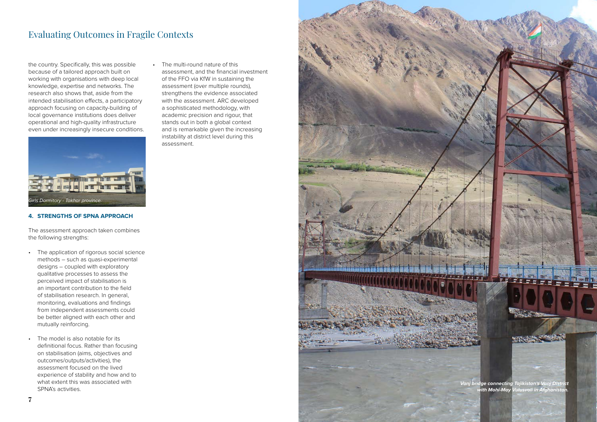**15**

*Vanj bridge connecting Tajikistan's Vanj District with Mohi-May Vulusvoli in Afghanistan.*

**FIREFE** 

the country. Specifically, this was possible because of a tailored approach built on working with organisations with deep local knowledge, expertise and networks. The research also shows that, aside from the intended stabilisation effects, a participatory approach focusing on capacity-building of local governance institutions does deliver operational and high-quality infrastructure even under increasingly insecure conditions.



### **4. STRENGTHS OF SPNA APPROACH**

The assessment approach taken combines the following strengths:

- The application of rigorous social science methods – such as quasi-experimental designs – coupled with exploratory qualitative processes to assess the perceived impact of stabilisation is an important contribution to the field of stabilisation research. In general, monitoring, evaluations and findings from independent assessments could be better aligned with each other and mutually reinforcing.
- The model is also notable for its definitional focus. Rather than focusing on stabilisation (aims, objectives and outcomes/outputs/activities), the assessment focused on the lived experience of stability and how and to what extent this was associated with SPNA's activities.

## Evaluating Outcomes in Fragile Contexts

• The multi-round nature of this assessment, and the financial investment of the FFO via KfW in sustaining the assessment (over multiple rounds), strengthens the evidence associated with the assessment. ARC developed a sophisticated methodology, with academic precision and rigour, that stands out in both a global context and is remarkable given the increasing instability at district level during this assessment.